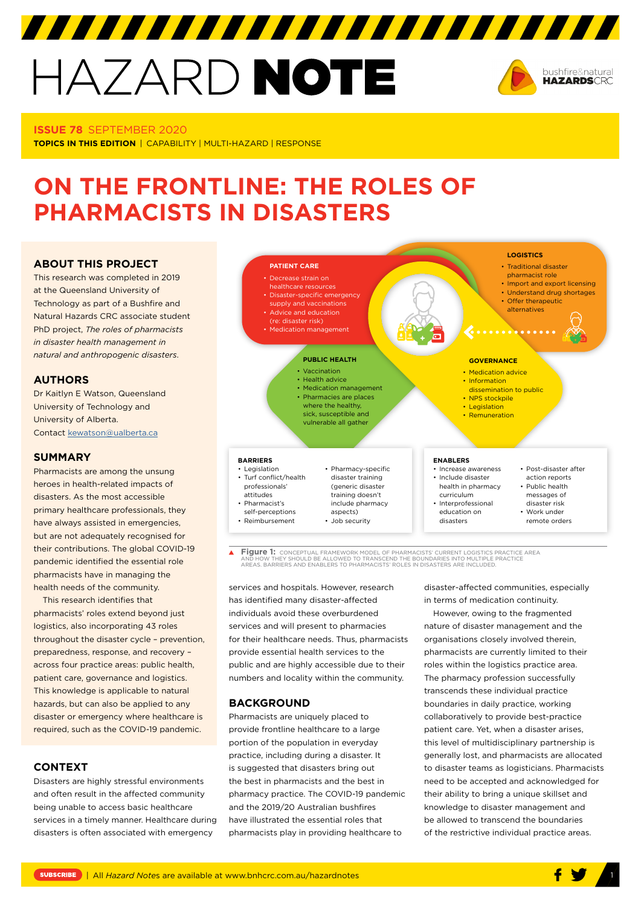# HAZARD NOTE



#### **ISSUE 78** SEPTEMBER 2020

**TOPICS IN THIS EDITION** | CAPABILITY | MULTI-HAZARD | RESPONSE

# **ON THE FRONTLINE: THE ROLES OF PHARMACISTS IN DISASTERS**

# **ABOUT THIS PROJECT**

This research was completed in 2019 at the Queensland University of Technology as part of a Bushfire and Natural Hazards CRC associate student PhD project, *The roles of pharmacists in disaster health management in natural and anthropogenic disasters*.

# **AUTHORS**

Dr Kaitlyn E Watson, Queensland University of Technology and University of Alberta. Contact [kewatson@ualberta.ca](mailto:kewatson@ualberta.ca)

#### **SUMMARY**

Pharmacists are among the unsung heroes in health-related impacts of disasters. As the most accessible primary healthcare professionals, they have always assisted in emergencies, but are not adequately recognised for their contributions. The global COVID-19 pandemic identified the essential role pharmacists have in managing the health needs of the community.

This research identifies that pharmacists' roles extend beyond just logistics, also incorporating 43 roles throughout the disaster cycle – prevention, preparedness, response, and recovery – across four practice areas: public health, patient care, governance and logistics. This knowledge is applicable to natural hazards, but can also be applied to any disaster or emergency where healthcare is required, such as the COVID-19 pandemic.

# **CONTEXT**

Disasters are highly stressful environments and often result in the affected community being unable to access basic healthcare services in a timely manner. Healthcare during disasters is often associated with emergency



**Figure 1:** CONCEPTUAL FRAMEWORK MODEL OF PHARMACISTS' CURRENT LOGISTICS PRACTICE AREA AND HOW THEY SHOULD BE ALLOWED TO TRANSCEND THE BOUNDARIES INTO MULTIPLE PRACTICE AREAS. BARRIERS AND ENABLERS TO PHARMACISTS' ROLES IN DISASTERS ARE INCLUDED.

services and hospitals. However, research has identified many disaster-affected individuals avoid these overburdened services and will present to pharmacies for their healthcare needs. Thus, pharmacists provide essential health services to the public and are highly accessible due to their numbers and locality within the community.

#### **BACKGROUND**

Pharmacists are uniquely placed to provide frontline healthcare to a large portion of the population in everyday practice, including during a disaster. It is suggested that disasters bring out the best in pharmacists and the best in pharmacy practice. The COVID-19 pandemic and the 2019/20 Australian bushfires have illustrated the essential roles that pharmacists play in providing healthcare to

disaster-affected communities, especially in terms of medication continuity.

However, owing to the fragmented nature of disaster management and the organisations closely involved therein, pharmacists are currently limited to their roles within the logistics practice area. The pharmacy profession successfully transcends these individual practice boundaries in daily practice, working collaboratively to provide best-practice patient care. Yet, when a disaster arises, this level of multidisciplinary partnership is generally lost, and pharmacists are allocated to disaster teams as logisticians. Pharmacists need to be accepted and acknowledged for their ability to bring a unique skillset and knowledge to disaster management and be allowed to transcend the boundaries of the restrictive individual practice areas.